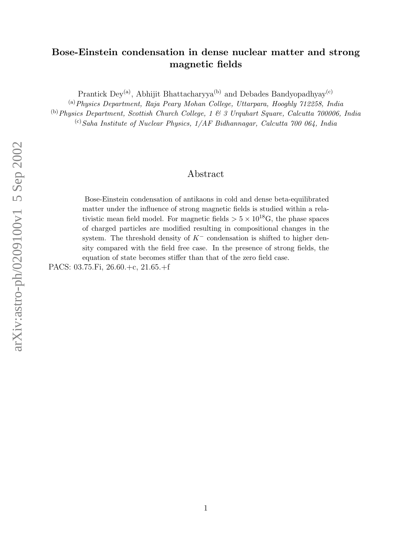## Bose-Einstein condensation in dense nuclear matter and strong magnetic fields

Prantick  $Dev^{(a)}$ , Abhijit Bhattacharyya<sup>(b)</sup> and Debades Bandyopadhyay<sup>(c)</sup>

(a)Physics Department, Raja Peary Mohan College, Uttarpara, Hooghly 712258, India (b)Physics Department, Scottish Church College, 1 & 3 Urquhart Square, Calcutta 700006, India

 $^{(c)}$ Saha Institute of Nuclear Physics,  $1/AF$  Bidhannagar, Calcutta 700 064, India

## Abstract

Bose-Einstein condensation of antikaons in cold and dense beta-equilibrated matter under the influence of strong magnetic fields is studied within a relativistic mean field model. For magnetic fields  $> 5 \times 10^{18}$ G, the phase spaces of charged particles are modified resulting in compositional changes in the system. The threshold density of  $K^-$  condensation is shifted to higher density compared with the field free case. In the presence of strong fields, the equation of state becomes stiffer than that of the zero field case.

PACS: 03.75.Fi, 26.60.+c, 21.65.+f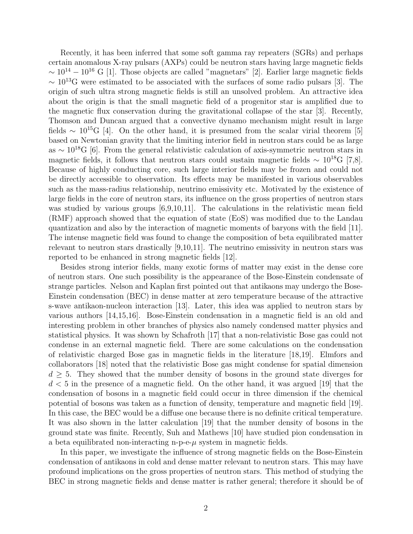Recently, it has been inferred that some soft gamma ray repeaters (SGRs) and perhaps certain anomalous X-ray pulsars (AXPs) could be neutron stars having large magnetic fields  $\sim 10^{14} - 10^{16}$  G [1]. Those objects are called "magnetars" [2]. Earlier large magnetic fields  $\sim 10^{13}$ G were estimated to be associated with the surfaces of some radio pulsars [3]. The origin of such ultra strong magnetic fields is still an unsolved problem. An attractive idea about the origin is that the small magnetic field of a progenitor star is amplified due to the magnetic flux conservation during the gravitational collapse of the star [3]. Recently, Thomson and Duncan argued that a convective dynamo mechanism might result in large fields  $\sim 10^{15}$ G [4]. On the other hand, it is presumed from the scalar virial theorem [5] based on Newtonian gravity that the limiting interior field in neutron stars could be as large as  $\sim 10^{18}$ G [6]. From the general relativistic calculation of axis-symmetric neutron stars in magnetic fields, it follows that neutron stars could sustain magnetic fields  $\sim 10^{18}$ G [7,8]. Because of highly conducting core, such large interior fields may be frozen and could not be directly accessible to observation. Its effects may be manifested in various observables such as the mass-radius relationship, neutrino emissivity etc. Motivated by the existence of large fields in the core of neutron stars, its influence on the gross properties of neutron stars was studied by various groups [6,9,10,11]. The calculations in the relativistic mean field (RMF) approach showed that the equation of state (EoS) was modified due to the Landau quantization and also by the interaction of magnetic moments of baryons with the field [11]. The intense magnetic field was found to change the composition of beta equilibrated matter relevant to neutron stars drastically [9,10,11]. The neutrino emissivity in neutron stars was reported to be enhanced in strong magnetic fields [12].

Besides strong interior fields, many exotic forms of matter may exist in the dense core of neutron stars. One such possibility is the appearance of the Bose-Einstein condensate of strange particles. Nelson and Kaplan first pointed out that antikaons may undergo the Bose-Einstein condensation (BEC) in dense matter at zero temperature because of the attractive s-wave antikaon-nucleon interaction [13]. Later, this idea was applied to neutron stars by various authors [14,15,16]. Bose-Einstein condensation in a magnetic field is an old and interesting problem in other branches of physics also namely condensed matter physics and statistical physics. It was shown by Schafroth [17] that a non-relativistic Bose gas could not condense in an external magnetic field. There are some calculations on the condensation of relativistic charged Bose gas in magnetic fields in the literature [18,19]. Elmfors and collaborators [18] noted that the relativistic Bose gas might condense for spatial dimension  $d \geq 5$ . They showed that the number density of bosons in the ground state diverges for  $d < 5$  in the presence of a magnetic field. On the other hand, it was argued [19] that the condensation of bosons in a magnetic field could occur in three dimension if the chemical potential of bosons was taken as a function of density, temperature and magnetic field [19]. In this case, the BEC would be a diffuse one because there is no definite critical temperature. It was also shown in the latter calculation [19] that the number density of bosons in the ground state was finite. Recently, Suh and Mathews [10] have studied pion condensation in a beta equilibrated non-interacting n-p-e- $\mu$  system in magnetic fields.

In this paper, we investigate the influence of strong magnetic fields on the Bose-Einstein condensation of antikaons in cold and dense matter relevant to neutron stars. This may have profound implications on the gross properties of neutron stars. This method of studying the BEC in strong magnetic fields and dense matter is rather general; therefore it should be of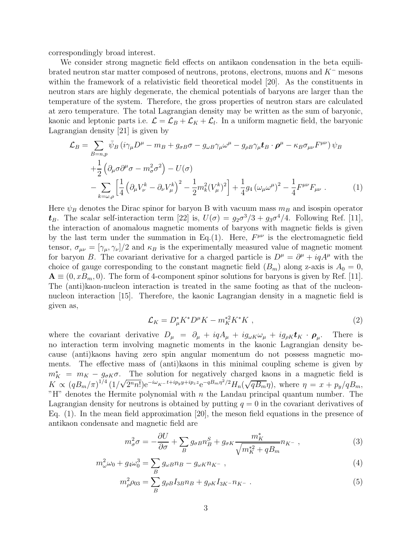correspondingly broad interest.

We consider strong magnetic field effects on antikaon condensation in the beta equilibrated neutron star matter composed of neutrons, protons, electrons, muons and K<sup>−</sup> mesons within the framework of a relativistic field theoretical model [20]. As the constituents in neutron stars are highly degenerate, the chemical potentials of baryons are larger than the temperature of the system. Therefore, the gross properties of neutron stars are calculated at zero temperature. The total Lagrangian density may be written as the sum of baryonic, kaonic and leptonic parts i.e.  $\mathcal{L} = \mathcal{L}_B + \mathcal{L}_K + \mathcal{L}_l$ . In a uniform magnetic field, the baryonic Lagrangian density [21] is given by

$$
\mathcal{L}_{B} = \sum_{B=n,p} \bar{\psi}_{B} \left( i \gamma_{\mu} D^{\mu} - m_{B} + g_{\sigma B} \sigma - g_{\omega B} \gamma_{\mu} \omega^{\mu} - g_{\rho B} \gamma_{\mu} t_{B} \cdot \boldsymbol{\rho}^{\mu} - \kappa_{B} \sigma_{\mu \nu} F^{\mu \nu} \right) \psi_{B}
$$
  
+ 
$$
\frac{1}{2} \left( \partial_{\mu} \sigma \partial^{\mu} \sigma - m_{\sigma}^{2} \sigma^{2} \right) - U(\sigma)
$$

$$
- \sum_{k=\omega,\rho} \left[ \frac{1}{4} \left( \partial_{\mu} V_{\nu}^{k} - \partial_{\nu} V_{\mu}^{k} \right)^{2} - \frac{1}{2} m_{k}^{2} (V_{\mu}^{k})^{2} \right] + \frac{1}{4} g_{4} \left( \omega_{\mu} \omega^{\mu} \right)^{2} - \frac{1}{4} F^{\mu \nu} F_{\mu \nu} . \tag{1}
$$

Here  $\psi_B$  denotes the Dirac spinor for baryon B with vacuum mass  $m_B$  and isospin operator  $t_B$ . The scalar self-interaction term [22] is,  $U(\sigma) = g_2 \sigma^3/3 + g_3 \sigma^4/4$ . Following Ref. [11], the interaction of anomalous magnetic moments of baryons with magnetic fields is given by the last term under the summation in Eq.(1). Here,  $F^{\mu\nu}$  is the electromagnetic field tensor,  $\sigma_{\mu\nu} = [\gamma_{\mu}, \gamma_{\nu}]/2$  and  $\kappa_B$  is the experimentally measured value of magnetic moment for baryon B. The covariant derivative for a charged particle is  $D^{\mu} = \partial^{\mu} + iqA^{\mu}$  with the choice of gauge corresponding to the constant magnetic field  $(B_m)$  along z-axis is  $A_0 = 0$ ,  $\mathbf{A} \equiv (0, x B_m, 0)$ . The form of 4-component spinor solutions for baryons is given by Ref. [11]. The (anti)kaon-nucleon interaction is treated in the same footing as that of the nucleonnucleon interaction [15]. Therefore, the kaonic Lagrangian density in a magnetic field is given as,

$$
\mathcal{L}_K = D^*_{\mu} K^* D^{\mu} K - m_K^{*2} K^* K \t\t(2)
$$

where the covariant derivative  $D_{\mu} = \partial_{\mu} + iqA_{\mu} + ig_{\omega K}\omega_{\mu} + ig_{\rho K}\boldsymbol{t}_K \cdot \boldsymbol{\rho}_{\mu}$ . . There is no interaction term involving magnetic moments in the kaonic Lagrangian density because (anti)kaons having zero spin angular momentum do not possess magnetic moments. The effective mass of (anti)kaons in this minimal coupling scheme is given by  $m_K^* = m_K - g_{\sigma K} \sigma$ . The solution for negatively charged kaons in a magnetic field is  $K \propto (qB_m/\pi)^{1/4} (1/\sqrt{2^n n!})e^{-i\omega_{K^-}t+ip_yy+ip_zz}e^{-qB_m\eta^2/2}H_n(\sqrt{qB_m}\eta)$ , where  $\eta = x + p_y/qB_m$ , "H" denotes the Hermite polynomial with  $n$  the Landau principal quantum number. The Lagrangian density for neutrons is obtained by putting  $q = 0$  in the covariant derivatives of Eq. (1). In the mean field approximation [20], the meson field equations in the presence of antikaon condensate and magnetic field are

$$
m_{\sigma}^2 \sigma = -\frac{\partial U}{\partial \sigma} + \sum_{B} g_{\sigma B} n_B^S + g_{\sigma K} \frac{m_K^*}{\sqrt{m_K^{*2} + qB_m}} n_{K^-} \,, \tag{3}
$$

$$
m_{\omega}^{2}\omega_{0} + g_{4}\omega_{0}^{3} = \sum_{B} g_{\omega B}n_{B} - g_{\omega K}n_{K^{-}} , \qquad (4)
$$

$$
m_{\rho}^{2}\rho_{03} = \sum_{B} g_{\rho B} I_{3B} n_{B} + g_{\rho K} I_{3K} - n_{K}.
$$
\n(5)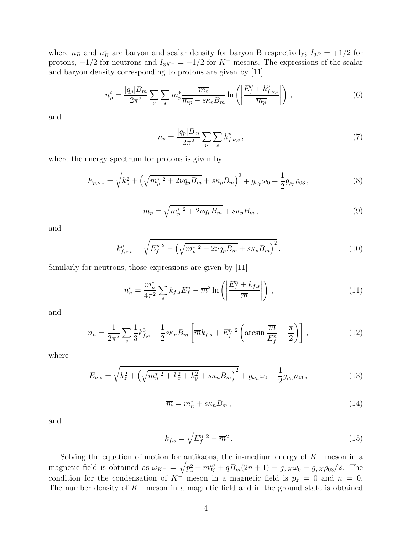where  $n_B$  and  $n_B^s$  are baryon and scalar density for baryon B respectively;  $I_{3B} = +1/2$  for protons,  $-1/2$  for neutrons and  $I_{3K^-} = -1/2$  for  $K^-$  mesons. The expressions of the scalar and baryon density corresponding to protons are given by [11]

$$
n_p^s = \frac{|q_p|B_m}{2\pi^2} \sum_{\nu} \sum_s m_p^* \frac{\overline{m_p}}{\overline{m_p} - s\kappa_p B_m} \ln\left(\left|\frac{E_f^p + k_{f,\nu,s}^p}{\overline{m_p}}\right|\right),\tag{6}
$$

and

$$
n_p = \frac{|q_p|B_m}{2\pi^2} \sum_{\nu} \sum_s k_{f,\nu,s}^p \,, \tag{7}
$$

where the energy spectrum for protons is given by

$$
E_{p,\nu,s} = \sqrt{k_z^2 + \left(\sqrt{m_p^*^2 + 2\nu q_p B_m} + s\kappa_p B_m\right)^2} + g_{\omega_p}\omega_0 + \frac{1}{2}g_{\rho_p}\rho_{03},\tag{8}
$$

$$
\overline{m_p} = \sqrt{m_p^*^2 + 2\nu q_p B_m} + s\kappa_p B_m, \qquad (9)
$$

and

$$
k_{f,\nu,s}^p = \sqrt{E_f^{p/2} - \left(\sqrt{m_p^*^2 + 2\nu q_p B_m} + s\kappa_p B_m\right)^2}.
$$
 (10)

Similarly for neutrons, those expressions are given by [11]

$$
n_n^s = \frac{m_n^*}{4\pi^2} \sum_s k_{f,s} E_f^n - \overline{m}^2 \ln\left(\left|\frac{E_f^n + k_{f,s}}{\overline{m}}\right|\right) \,,\tag{11}
$$

and

$$
n_n = \frac{1}{2\pi^2} \sum_{s} \frac{1}{3} k_{f,s}^3 + \frac{1}{2} s \kappa_n B_m \left[ \overline{m} k_{f,s} + E_f^{n}{}^2 \left( \arcsin \frac{\overline{m}}{E_f^n} - \frac{\pi}{2} \right) \right],
$$
 (12)

where

$$
E_{n,s} = \sqrt{k_z^2 + \left(\sqrt{m_n^2 + k_x^2 + k_y^2} + s\kappa_n B_m\right)^2} + g_{\omega_n} \omega_0 - \frac{1}{2} g_{\rho_n} \rho_{03} ,\qquad (13)
$$

$$
\overline{m} = m_n^* + s\kappa_n B_m \,,\tag{14}
$$

and

$$
k_{f,s} = \sqrt{E_f^{n-2} - \overline{m}^2} \,. \tag{15}
$$

Solving the equation of motion for antikaons, the in-medium energy of  $K^-$  meson in a magnetic field is obtained as  $\omega_{K^-} = \sqrt{p_z^2 + m_K^{*2} + qB_m(2n + 1)} - g_{\omega K} \omega_0 - g_{\rho K} \rho_{03}/2$ . The condition for the condensation of  $K^-$  meson in a magnetic field is  $p_z = 0$  and  $n = 0$ . The number density of  $K^-$  meson in a magnetic field and in the ground state is obtained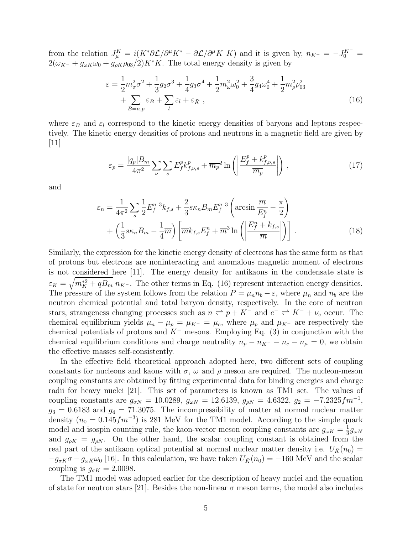from the relation  $J_{\mu}^{K} = i(K^*\partial \mathcal{L}/\partial^{\mu}K^* - \partial \mathcal{L}/\partial^{\mu}K K)$  and it is given by,  $n_{K^-} = -J_0^{K^-} =$  $2(\omega_{K^-} + g_{\omega K} \omega_0 + g_{\rho K} \rho_{03}/2) K^* K$ . The total energy density is given by

$$
\varepsilon = \frac{1}{2} m_{\sigma}^{2} \sigma^{2} + \frac{1}{3} g_{2} \sigma^{3} + \frac{1}{4} g_{3} \sigma^{4} + \frac{1}{2} m_{\omega}^{2} \omega_{0}^{2} + \frac{3}{4} g_{4} \omega_{0}^{4} + \frac{1}{2} m_{\rho}^{2} \rho_{03}^{2} + \sum_{B=n,p} \varepsilon_{B} + \sum_{l} \varepsilon_{l} + \varepsilon_{\bar{K}} ,
$$
\n(16)

where  $\varepsilon_B$  and  $\varepsilon_l$  correspond to the kinetic energy densities of baryons and leptons respectively. The kinetic energy densities of protons and neutrons in a magnetic field are given by  $|11|$ 

$$
\varepsilon_p = \frac{|q_p|B_m}{4\pi^2} \sum_{\nu} \sum_s E_f^p k_{f,\nu,s}^p + \overline{m_p}^2 \ln\left(\left|\frac{E_f^p + k_{f,\nu,s}^p}{\overline{m_p}}\right|\right),\tag{17}
$$

and

$$
\varepsilon_n = \frac{1}{4\pi^2} \sum_s \frac{1}{2} E_f^{n-3} k_{f,s} + \frac{2}{3} s \kappa_n B_m E_f^{n-3} \left( \arcsin \frac{\overline{m}}{E_f^n} - \frac{\pi}{2} \right) + \left( \frac{1}{3} s \kappa_n B_m - \frac{1}{4} \overline{m} \right) \left[ \overline{m} k_{f,s} E_f^n + \overline{m}^3 \ln \left( \left| \frac{E_f^n + k_{f,s}}{\overline{m}} \right| \right) \right].
$$
 (18)

Similarly, the expression for the kinetic energy density of electrons has the same form as that of protons but electrons are noninteracting and anomalous magnetic moment of electrons is not considered here [11]. The energy density for antikaons in the condensate state is  $\varepsilon_{\bar{K}} = \sqrt{m_K^{*2} + qB_m} n_{K^-}$ . The other terms in Eq. (16) represent interaction energy densities. The pressure of the system follows from the relation  $P = \mu_n n_b - \varepsilon$ , where  $\mu_n$  and  $n_b$  are the neutron chemical potential and total baryon density, respectively. In the core of neutron stars, strangeness changing processes such as  $n \rightleftharpoons p + K^-$  and  $e^- \rightleftharpoons K^- + \nu_e$  occur. The chemical equilibrium yields  $\mu_n - \mu_p = \mu_{K^-} = \mu_e$ , where  $\mu_p$  and  $\mu_{K^-}$  are respectively the chemical potentials of protons and  $K^-$  mesons. Employing Eq. (3) in conjunction with the chemical equilibrium conditions and charge neutrality  $n_p - n_{K^-} - n_e - n_\mu = 0$ , we obtain the effective masses self-consistently.

In the effective field theoretical approach adopted here, two different sets of coupling constants for nucleons and kaons with  $\sigma$ ,  $\omega$  and  $\rho$  meson are required. The nucleon-meson coupling constants are obtained by fitting experimental data for binding energies and charge radii for heavy nuclei [21]. This set of parameters is known as TM1 set. The values of coupling constants are  $g_{\sigma N} = 10.0289$ ,  $g_{\omega N} = 12.6139$ ,  $g_{\rho N} = 4.6322$ ,  $g_2 = -7.2325 fm^{-1}$ ,  $g_3 = 0.6183$  and  $g_4 = 71.3075$ . The incompressibility of matter at normal nuclear matter density  $(n_0 = 0.145 fm^{-3})$  is 281 MeV for the TM1 model. According to the simple quark model and isospin counting rule, the kaon-vector meson coupling constants are  $g_{\omega K} = \frac{1}{3}$  $\frac{1}{3}g_{\omega N}$ and  $g_{\rho K} = g_{\rho N}$ . On the other hand, the scalar coupling constant is obtained from the real part of the antikaon optical potential at normal nuclear matter density i.e.  $U_{\bar{K}}(n_0)$  =  $-g_{\sigma K} \sigma - g_{\omega K} \omega_0$  [16]. In this calculation, we have taken  $U_{\bar{K}}(n_0) = -160$  MeV and the scalar coupling is  $g_{\sigma K} = 2.0098$ .

The TM1 model was adopted earlier for the description of heavy nuclei and the equation of state for neutron stars [21]. Besides the non-linear  $\sigma$  meson terms, the model also includes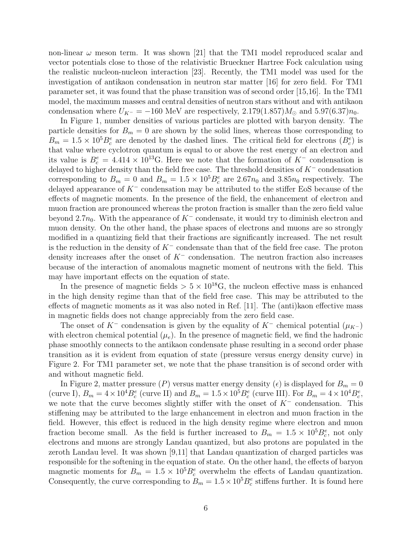non-linear  $\omega$  meson term. It was shown [21] that the TM1 model reproduced scalar and vector potentials close to those of the relativistic Brueckner Hartree Fock calculation using the realistic nucleon-nucleon interaction [23]. Recently, the TM1 model was used for the investigation of antikaon condensation in neutron star matter [16] for zero field. For TM1 parameter set, it was found that the phase transition was of second order [15,16]. In the TM1 model, the maximum masses and central densities of neutron stars without and with antikaon condensation where  $U_{K^-} = -160$  MeV are respectively,  $2.179(1.857)M_{\odot}$  and  $5.97(6.37)n_0$ .

In Figure 1, number densities of various particles are plotted with baryon density. The particle densities for  $B_m = 0$  are shown by the solid lines, whereas those corresponding to  $B_m = 1.5 \times 10^5 B_c^e$  are denoted by the dashed lines. The critical field for electrons  $(B_c^e)$  is that value where cyclotron quantum is equal to or above the rest energy of an electron and its value is  $B_c^e = 4.414 \times 10^{13}$ G. Here we note that the formation of K<sup>-</sup> condensation is delayed to higher density than the field free case. The threshold densities of K<sup>−</sup> condensation corresponding to  $B_m = 0$  and  $B_m = 1.5 \times 10^5 B_c^e$  are  $2.67n_0$  and  $3.85n_0$  respectively. The delayed appearance of K<sup>−</sup> condensation may be attributed to the stiffer EoS because of the effects of magnetic moments. In the presence of the field, the enhancement of electron and muon fraction are pronounced whereas the proton fraction is smaller than the zero field value beyond 2.7 $n_0$ . With the appearance of K<sup>−</sup> condensate, it would try to diminish electron and muon density. On the other hand, the phase spaces of electrons and muons are so strongly modified in a quantizing field that their fractions are significantly increased. The net result is the reduction in the density of  $K^-$  condensate than that of the field free case. The proton density increases after the onset of  $K^-$  condensation. The neutron fraction also increases because of the interaction of anomalous magnetic moment of neutrons with the field. This may have important effects on the equation of state.

In the presence of magnetic fields  $> 5 \times 10^{18}$ G, the nucleon effective mass is enhanced in the high density regime than that of the field free case. This may be attributed to the effects of magnetic moments as it was also noted in Ref. [11]. The (anti)kaon effective mass in magnetic fields does not change appreciably from the zero field case.

The onset of K<sup>-</sup> condensation is given by the equality of K<sup>-</sup> chemical potential ( $\mu_{K^-}$ ) with electron chemical potential  $(\mu_e)$ . In the presence of magnetic field, we find the hadronic phase smoothly connects to the antikaon condensate phase resulting in a second order phase transition as it is evident from equation of state (pressure versus energy density curve) in Figure 2. For TM1 parameter set, we note that the phase transition is of second order with and without magnetic field.

In Figure 2, matter pressure (P) versus matter energy density ( $\epsilon$ ) is displayed for  $B_m = 0$ (curve I),  $B_m = 4 \times 10^4 B_c^e$  (curve II) and  $B_m = 1.5 \times 10^5 B_c^e$  (curve III). For  $B_m = 4 \times 10^4 B_c^e$ , we note that the curve becomes slightly stiffer with the onset of  $K^-$  condensation. This stiffening may be attributed to the large enhancement in electron and muon fraction in the field. However, this effect is reduced in the high density regime where electron and muon fraction become small. As the field is further increased to  $B_m = 1.5 \times 10^5 B_c^e$ , not only electrons and muons are strongly Landau quantized, but also protons are populated in the zeroth Landau level. It was shown [9,11] that Landau quantization of charged particles was responsible for the softening in the equation of state. On the other hand, the effects of baryon magnetic moments for  $B_m = 1.5 \times 10^5 B_c^e$  overwhelm the effects of Landau quantization. Consequently, the curve corresponding to  $B_m = 1.5 \times 10^5 B_c^e$  stiffens further. It is found here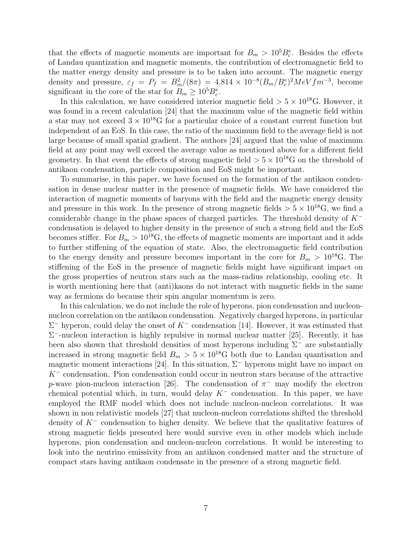that the effects of magnetic moments are important for  $B_m > 10^5 B_c^e$ . Besides the effects of Landau quantization and magnetic moments, the contribution of electromagnetic field to the matter energy density and pressure is to be taken into account. The magnetic energy density and pressure,  $\varepsilon_f = P_f = B_m^2/(8\pi) = 4.814 \times 10^{-8} (B_m/B_c^e)^2 MeV fm^{-3}$ , become significant in the core of the star for  $B_m \geq 10^5 B_c^e$ .

In this calculation, we have considered interior magnetic field  $> 5 \times 10^{18}$ G. However, it was found in a recent calculation [24] that the maximum value of the magnetic field within a star may not exceed  $3 \times 10^{18}$ G for a particular choice of a constant current function but independent of an EoS. In this case, the ratio of the maximum field to the average field is not large because of small spatial gradient. The authors [24] argued that the value of maximum field at any point may well exceed the average value as mentioned above for a different field geometry. In that event the effects of strong magnetic field  $> 5 \times 10^{18}$ G on the threshold of antikaon condensation, particle composition and EoS might be important.

To summarise, in this paper, we have focused on the formation of the antikaon condensation in dense nuclear matter in the presence of magnetic fields. We have considered the interaction of magnetic moments of baryons with the field and the magnetic energy density and pressure in this work. In the presence of strong magnetic fields  $> 5 \times 10^{18}$ G, we find a considerable change in the phase spaces of charged particles. The threshold density of K<sup>−</sup> condensation is delayed to higher density in the presence of such a strong field and the EoS becomes stiffer. For  $B_m > 10^{18}$ G, the effects of magnetic moments are important and it adds to further stiffening of the equation of state. Also, the electromagnetic field contribution to the energy density and pressure becomes important in the core for  $B_m > 10^{18}$ G. The stiffening of the EoS in the presence of magnetic fields might have significant impact on the gross properties of neutron stars such as the mass-radius relationship, cooling etc. It is worth mentioning here that (anti)kaons do not interact with magnetic fields in the same way as fermions do because their spin angular momentum is zero.

In this calculation, we do not include the role of hyperons, pion condensation and nucleonnucleon correlation on the antikaon condensation. Negatively charged hyperons, in particular  $\Sigma^-$  hyperon, could delay the onset of  $K^-$  condensation [14]. However, it was estimated that  $\Sigma$ <sup>-</sup>-nucleon interaction is highly repulsive in normal nuclear matter [25]. Recently, it has been also shown that threshold densities of most hyperons including  $\Sigma^-$  are substantially increased in strong magnetic field  $B_m > 5 \times 10^{18}$ G both due to Landau quantisation and magnetic moment interactions [24]. In this situation,  $\Sigma^-$  hyperons might have no impact on K<sup>−</sup> condensation. Pion condensation could occur in neutron stars because of the attractive p-wave pion-nucleon interaction [26]. The condensation of  $\pi^-$  may modify the electron chemical potential which, in turn, would delay  $K^-$  condensation. In this paper, we have employed the RMF model which does not include nucleon-nucleon correlations. It was shown in non relativistic models [27] that nucleon-nucleon correlations shifted the threshold density of  $K^-$  condensation to higher density. We believe that the qualitative features of strong magnetic fields presented here would survive even in other models which include hyperons, pion condensation and nucleon-nucleon correlations. It would be interesting to look into the neutrino emissivity from an antikaon condensed matter and the structure of compact stars having antikaon condensate in the presence of a strong magnetic field.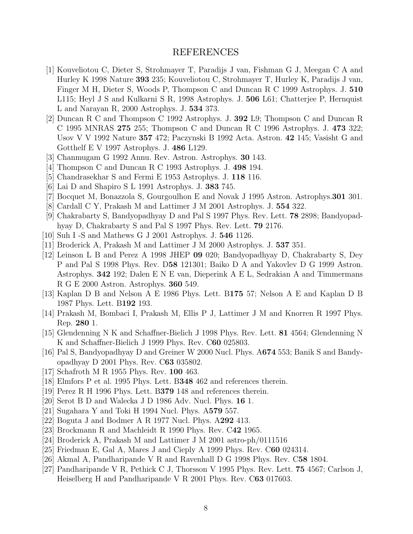## REFERENCES

- [1] Kouveliotou C, Dieter S, Strohmayer T, Paradijs J van, Fishman G J, Meegan C A and Hurley K 1998 Nature 393 235; Kouveliotou C, Strohmayer T, Hurley K, Paradijs J van, Finger M H, Dieter S, Woods P, Thompson C and Duncan R C 1999 Astrophys. J. 510 L115; Heyl J S and Kulkarni S R, 1998 Astrophys. J. 506 L61; Chatterjee P, Hernquist L and Narayan R, 2000 Astrophys. J. 534 373.
- [2] Duncan R C and Thompson C 1992 Astrophys. J. 392 L9; Thompson C and Duncan R C 1995 MNRAS 275 255; Thompson C and Duncan R C 1996 Astrophys. J. 473 322; Usov V V 1992 Nature 357 472; Paczynski B 1992 Acta. Astron. 42 145; Vasisht G and Gotthelf E V 1997 Astrophys. J. 486 L129.
- [3] Chanmugam G 1992 Annu. Rev. Astron. Astrophys. 30 143.
- [4] Thompson C and Duncan R C 1993 Astrophys. J. 498 194.
- [5] Chandrasekhar S and Fermi E 1953 Astrophys. J. 118 116.
- [6] Lai D and Shapiro S L 1991 Astrophys. J. 383 745.
- [7] Bocquet M, Bonazzola S, Gourgoulhon E and Novak J 1995 Astron. Astrophys.301 301.
- [8] Cardall C Y, Prakash M and Lattimer J M 2001 Astrophys. J. 554 322.
- [9] Chakrabarty S, Bandyopadhyay D and Pal S 1997 Phys. Rev. Lett. 78 2898; Bandyopadhyay D, Chakrabarty S and Pal S 1997 Phys. Rev. Lett. 79 2176.
- [10] Suh I -S and Mathews G J 2001 Astrophys. J. 546 1126.
- [11] Broderick A, Prakash M and Lattimer J M 2000 Astrophys. J. 537 351.
- [12] Leinson L B and Perez A 1998 JHEP 09 020; Bandyopadhyay D, Chakrabarty S, Dey P and Pal S 1998 Phys. Rev. D58 121301; Baiko D A and Yakovlev D G 1999 Astron. Astrophys. 342 192; Dalen E N E van, Dieperink A E L, Sedrakian A and Timmermans R G E 2000 Astron. Astrophys. 360 549.
- [13] Kaplan D B and Nelson A E 1986 Phys. Lett. B175 57; Nelson A E and Kaplan D B 1987 Phys. Lett. B192 193.
- [14] Prakash M, Bombaci I, Prakash M, Ellis P J, Lattimer J M and Knorren R 1997 Phys. Rep. 280 1.
- [15] Glendenning N K and Schaffner-Bielich J 1998 Phys. Rev. Lett. 81 4564; Glendenning N K and Schaffner-Bielich J 1999 Phys. Rev. C60 025803.
- [16] Pal S, Bandyopadhyay D and Greiner W 2000 Nucl. Phys. A674 553; Banik S and Bandyopadhyay D 2001 Phys. Rev. C63 035802.
- [17] Schafroth M R 1955 Phys. Rev. 100 463.
- [18] Elmfors P et al. 1995 Phys. Lett. B348 462 and references therein.
- [19] Perez R H 1996 Phys. Lett. B379 148 and references therein.
- [20] Serot B D and Walecka J D 1986 Adv. Nucl. Phys. 16 1.
- [21] Sugahara Y and Toki H 1994 Nucl. Phys. A579 557.
- [22] Boguta J and Bodmer A R 1977 Nucl. Phys. A292 413.
- [23] Brockmann R and Machleidt R 1990 Phys. Rev. C42 1965.
- [24] Broderick A, Prakash M and Lattimer J M 2001 astro-ph/0111516
- [25] Friedman E, Gal A, Mares J and Cieply A 1999 Phys. Rev. C60 024314.
- [26] Akmal A, Pandharipande V R and Ravenhall D G 1998 Phys. Rev. C58 1804.
- [27] Pandharipande V R, Pethick C J, Thorsson V 1995 Phys. Rev. Lett. 75 4567; Carlson J, Heiselberg H and Pandharipande V R 2001 Phys. Rev. C63 017603.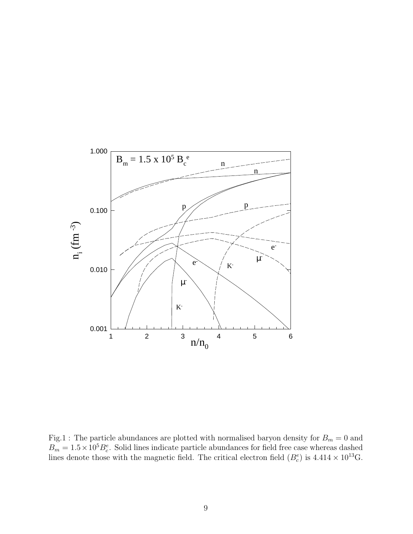

Fig.1 : The particle abundances are plotted with normalised baryon density for  $B_m = 0$  and  $B_m = 1.5 \times 10^5 B_c^e$ . Solid lines indicate particle abundances for field free case whereas dashed lines denote those with the magnetic field. The critical electron field  $(B_c^e)$  is  $4.414 \times 10^{13}$ G.